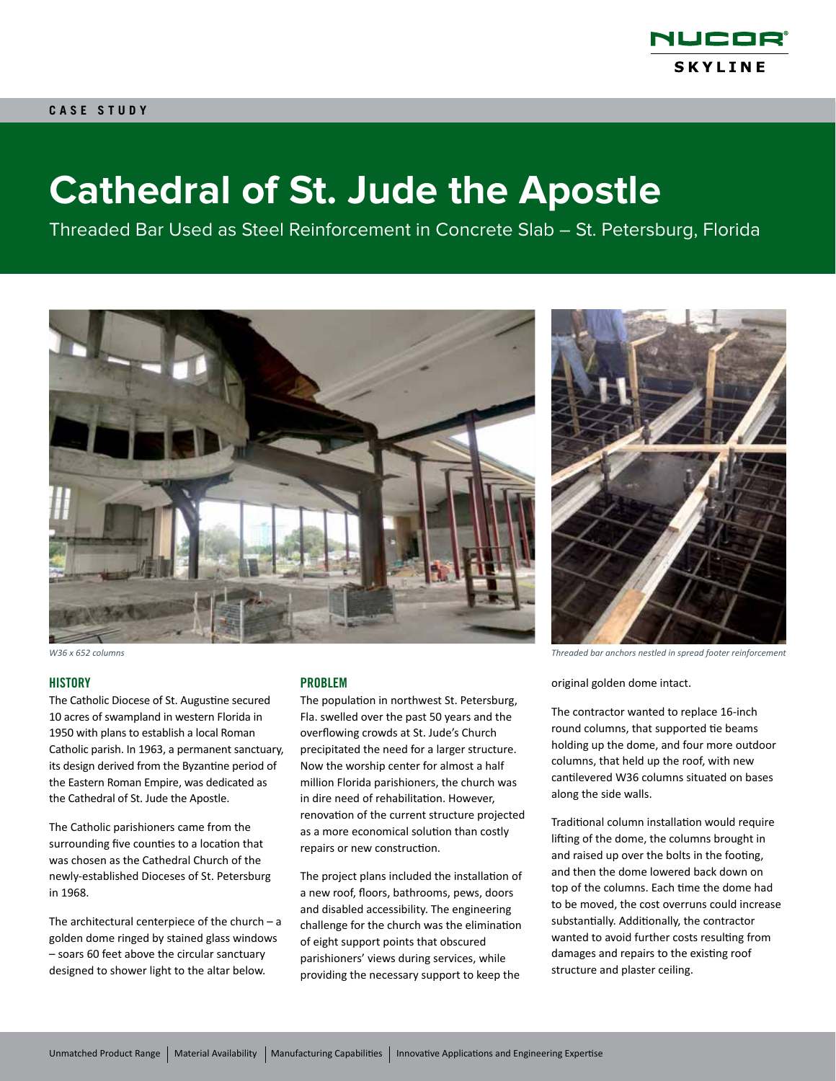

# **Cathedral of St. Jude the Apostle**

Threaded Bar Used as Steel Reinforcement in Concrete Slab – St. Petersburg, Florida



#### **HISTORY**

The Catholic Diocese of St. Augustine secured 10 acres of swampland in western Florida in 1950 with plans to establish a local Roman Catholic parish. In 1963, a permanent sanctuary, its design derived from the Byzantine period of the Eastern Roman Empire, was dedicated as the Cathedral of St. Jude the Apostle.

The Catholic parishioners came from the surrounding five counties to a location that was chosen as the Cathedral Church of the newly-established Dioceses of St. Petersburg in 1968.

The architectural centerpiece of the church  $- a$ golden dome ringed by stained glass windows – soars 60 feet above the circular sanctuary designed to shower light to the altar below.

### PROBLEM

The population in northwest St. Petersburg, Fla. swelled over the past 50 years and the overflowing crowds at St. Jude's Church precipitated the need for a larger structure. Now the worship center for almost a half million Florida parishioners, the church was in dire need of rehabilitation. However, renovation of the current structure projected as a more economical solution than costly repairs or new construction.

The project plans included the installation of a new roof, floors, bathrooms, pews, doors and disabled accessibility. The engineering challenge for the church was the elimination of eight support points that obscured parishioners' views during services, while providing the necessary support to keep the



*W36 x 652 columns Threaded bar anchors nestled in spread footer reinforcement*

original golden dome intact.

The contractor wanted to replace 16-inch round columns, that supported tie beams holding up the dome, and four more outdoor columns, that held up the roof, with new cantilevered W36 columns situated on bases along the side walls.

Traditional column installation would require lifting of the dome, the columns brought in and raised up over the bolts in the footing, and then the dome lowered back down on top of the columns. Each time the dome had to be moved, the cost overruns could increase substantially. Additionally, the contractor wanted to avoid further costs resulting from damages and repairs to the existing roof structure and plaster ceiling.